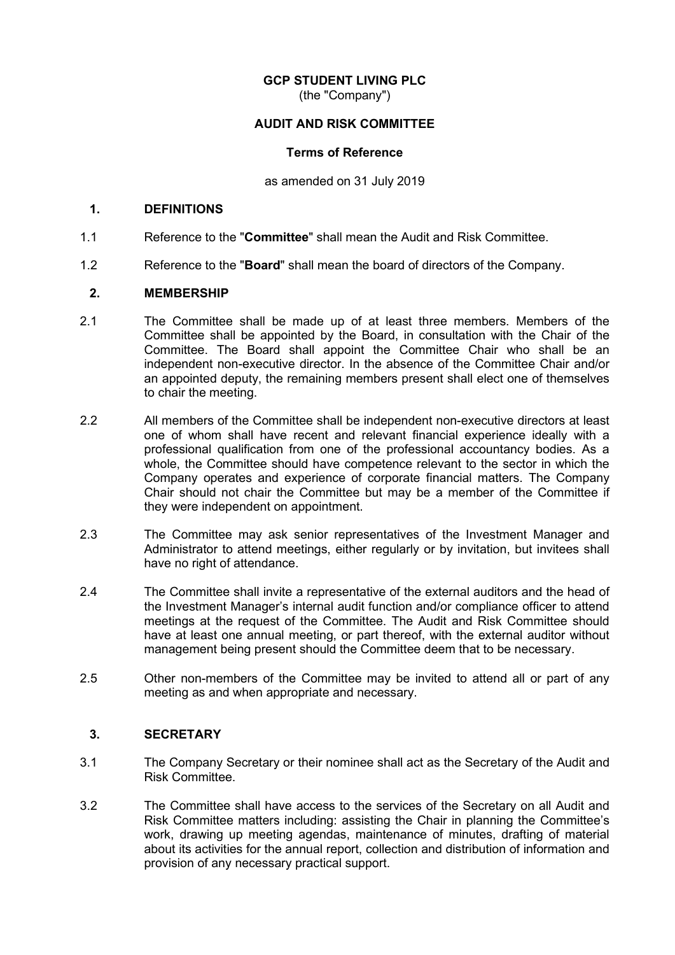# **GCP STUDENT LIVING PLC**

(the "Company")

# **AUDIT AND RISK COMMITTEE**

#### **Terms of Reference**

as amended on 31 July 2019

### **1. DEFINITIONS**

- 1.1 Reference to the "**Committee**" shall mean the Audit and Risk Committee.
- 1.2 Reference to the "**Board**" shall mean the board of directors of the Company.

# **2. MEMBERSHIP**

- 2.1 The Committee shall be made up of at least three members. Members of the Committee shall be appointed by the Board, in consultation with the Chair of the Committee. The Board shall appoint the Committee Chair who shall be an independent non-executive director. In the absence of the Committee Chair and/or an appointed deputy, the remaining members present shall elect one of themselves to chair the meeting.
- 2.2 All members of the Committee shall be independent non-executive directors at least one of whom shall have recent and relevant financial experience ideally with a professional qualification from one of the professional accountancy bodies. As a whole, the Committee should have competence relevant to the sector in which the Company operates and experience of corporate financial matters. The Company Chair should not chair the Committee but may be a member of the Committee if they were independent on appointment.
- 2.3 The Committee may ask senior representatives of the Investment Manager and Administrator to attend meetings, either regularly or by invitation, but invitees shall have no right of attendance.
- 2.4 The Committee shall invite a representative of the external auditors and the head of the Investment Manager's internal audit function and/or compliance officer to attend meetings at the request of the Committee. The Audit and Risk Committee should have at least one annual meeting, or part thereof, with the external auditor without management being present should the Committee deem that to be necessary.
- 2.5 Other non-members of the Committee may be invited to attend all or part of any meeting as and when appropriate and necessary.

# **3. SECRETARY**

- 3.1 The Company Secretary or their nominee shall act as the Secretary of the Audit and Risk Committee.
- 3.2 The Committee shall have access to the services of the Secretary on all Audit and Risk Committee matters including: assisting the Chair in planning the Committee's work, drawing up meeting agendas, maintenance of minutes, drafting of material about its activities for the annual report, collection and distribution of information and provision of any necessary practical support.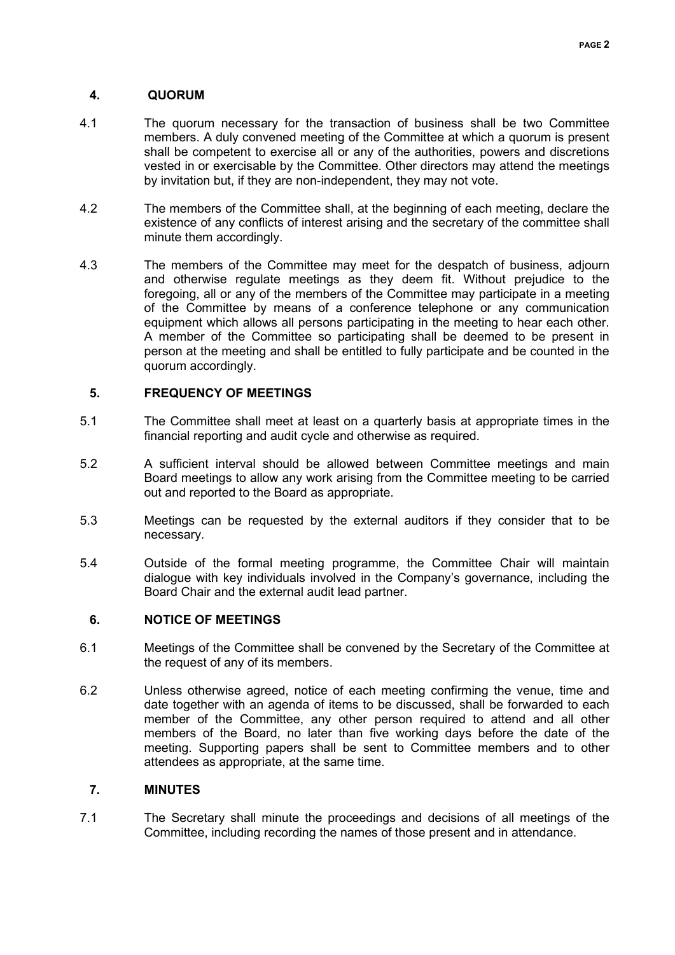# **4. QUORUM**

- 4.1 The quorum necessary for the transaction of business shall be two Committee members. A duly convened meeting of the Committee at which a quorum is present shall be competent to exercise all or any of the authorities, powers and discretions vested in or exercisable by the Committee. Other directors may attend the meetings by invitation but, if they are non-independent, they may not vote.
- 4.2 The members of the Committee shall, at the beginning of each meeting, declare the existence of any conflicts of interest arising and the secretary of the committee shall minute them accordingly.
- 4.3 The members of the Committee may meet for the despatch of business, adjourn and otherwise regulate meetings as they deem fit. Without prejudice to the foregoing, all or any of the members of the Committee may participate in a meeting of the Committee by means of a conference telephone or any communication equipment which allows all persons participating in the meeting to hear each other. A member of the Committee so participating shall be deemed to be present in person at the meeting and shall be entitled to fully participate and be counted in the quorum accordingly.

# **5. FREQUENCY OF MEETINGS**

- 5.1 The Committee shall meet at least on a quarterly basis at appropriate times in the financial reporting and audit cycle and otherwise as required.
- 5.2 A sufficient interval should be allowed between Committee meetings and main Board meetings to allow any work arising from the Committee meeting to be carried out and reported to the Board as appropriate.
- 5.3 Meetings can be requested by the external auditors if they consider that to be necessary.
- 5.4 Outside of the formal meeting programme, the Committee Chair will maintain dialogue with key individuals involved in the Company's governance, including the Board Chair and the external audit lead partner.

# **6. NOTICE OF MEETINGS**

- 6.1 Meetings of the Committee shall be convened by the Secretary of the Committee at the request of any of its members.
- 6.2 Unless otherwise agreed, notice of each meeting confirming the venue, time and date together with an agenda of items to be discussed, shall be forwarded to each member of the Committee, any other person required to attend and all other members of the Board, no later than five working days before the date of the meeting. Supporting papers shall be sent to Committee members and to other attendees as appropriate, at the same time.

# **7. MINUTES**

7.1 The Secretary shall minute the proceedings and decisions of all meetings of the Committee, including recording the names of those present and in attendance.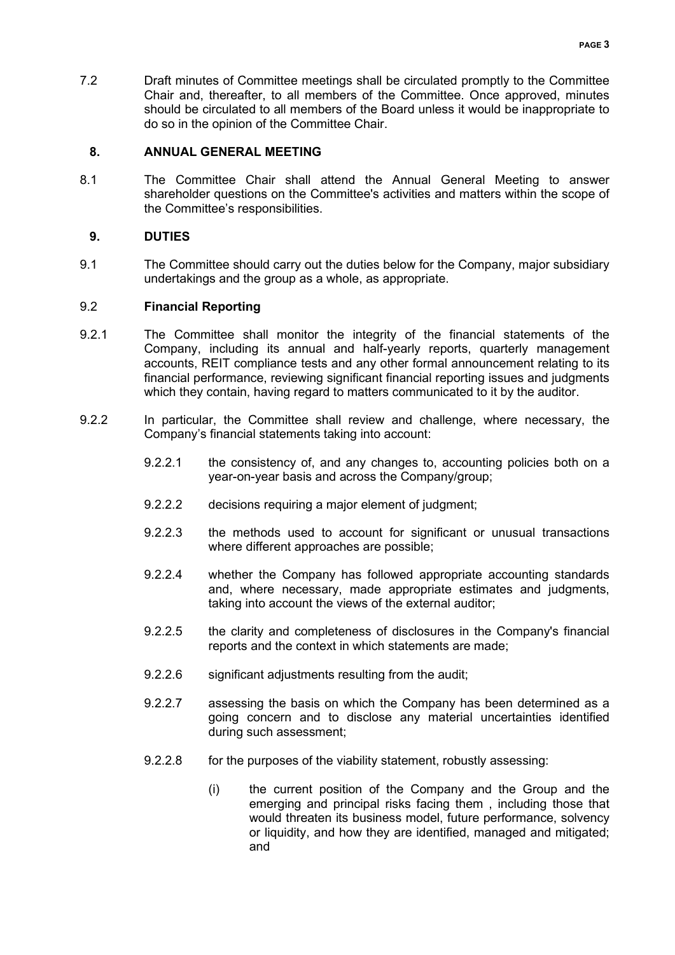7.2 Draft minutes of Committee meetings shall be circulated promptly to the Committee Chair and, thereafter, to all members of the Committee. Once approved, minutes should be circulated to all members of the Board unless it would be inappropriate to do so in the opinion of the Committee Chair.

# **8. ANNUAL GENERAL MEETING**

8.1 The Committee Chair shall attend the Annual General Meeting to answer shareholder questions on the Committee's activities and matters within the scope of the Committee's responsibilities.

# **9. DUTIES**

9.1 The Committee should carry out the duties below for the Company, major subsidiary undertakings and the group as a whole, as appropriate.

# 9.2 **Financial Reporting**

- 9.2.1 The Committee shall monitor the integrity of the financial statements of the Company, including its annual and half-yearly reports, quarterly management accounts, REIT compliance tests and any other formal announcement relating to its financial performance, reviewing significant financial reporting issues and judgments which they contain, having regard to matters communicated to it by the auditor.
- 9.2.2 In particular, the Committee shall review and challenge, where necessary, the Company's financial statements taking into account:
	- 9.2.2.1 the consistency of, and any changes to, accounting policies both on a year-on-year basis and across the Company/group;
	- 9.2.2.2 decisions requiring a major element of judgment;
	- 9.2.2.3 the methods used to account for significant or unusual transactions where different approaches are possible;
	- 9.2.2.4 whether the Company has followed appropriate accounting standards and, where necessary, made appropriate estimates and judgments, taking into account the views of the external auditor;
	- 9.2.2.5 the clarity and completeness of disclosures in the Company's financial reports and the context in which statements are made;
	- 9.2.2.6 significant adjustments resulting from the audit;
	- 9.2.2.7 assessing the basis on which the Company has been determined as a going concern and to disclose any material uncertainties identified during such assessment;
	- 9.2.2.8 for the purposes of the viability statement, robustly assessing:
		- (i) the current position of the Company and the Group and the emerging and principal risks facing them , including those that would threaten its business model, future performance, solvency or liquidity, and how they are identified, managed and mitigated; and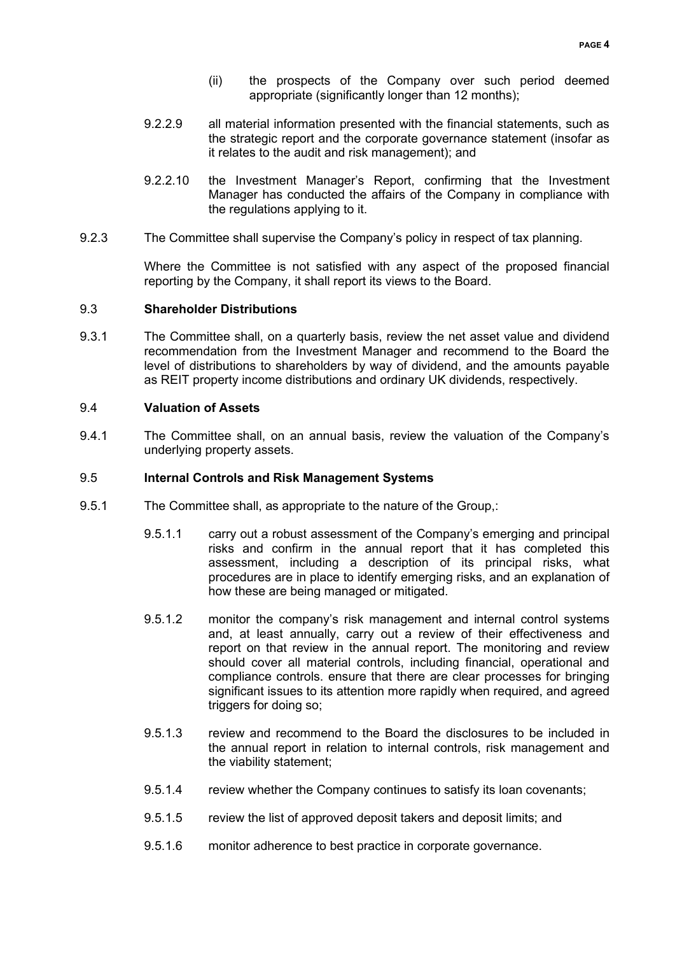- (ii) the prospects of the Company over such period deemed appropriate (significantly longer than 12 months);
- 9.2.2.9 all material information presented with the financial statements, such as the strategic report and the corporate governance statement (insofar as it relates to the audit and risk management); and
- 9.2.2.10 the Investment Manager's Report, confirming that the Investment Manager has conducted the affairs of the Company in compliance with the regulations applying to it.
- 9.2.3 The Committee shall supervise the Company's policy in respect of tax planning.

Where the Committee is not satisfied with any aspect of the proposed financial reporting by the Company, it shall report its views to the Board.

# 9.3 **Shareholder Distributions**

9.3.1 The Committee shall, on a quarterly basis, review the net asset value and dividend recommendation from the Investment Manager and recommend to the Board the level of distributions to shareholders by way of dividend, and the amounts payable as REIT property income distributions and ordinary UK dividends, respectively.

#### 9.4 **Valuation of Assets**

9.4.1 The Committee shall, on an annual basis, review the valuation of the Company's underlying property assets.

#### 9.5 **Internal Controls and Risk Management Systems**

- 9.5.1 The Committee shall, as appropriate to the nature of the Group,:
	- 9.5.1.1 carry out a robust assessment of the Company's emerging and principal risks and confirm in the annual report that it has completed this assessment, including a description of its principal risks, what procedures are in place to identify emerging risks, and an explanation of how these are being managed or mitigated.
	- 9.5.1.2 monitor the company's risk management and internal control systems and, at least annually, carry out a review of their effectiveness and report on that review in the annual report. The monitoring and review should cover all material controls, including financial, operational and compliance controls. ensure that there are clear processes for bringing significant issues to its attention more rapidly when required, and agreed triggers for doing so;
	- 9.5.1.3 review and recommend to the Board the disclosures to be included in the annual report in relation to internal controls, risk management and the viability statement;
	- 9.5.1.4 review whether the Company continues to satisfy its loan covenants;
	- 9.5.1.5 review the list of approved deposit takers and deposit limits; and
	- 9.5.1.6 monitor adherence to best practice in corporate governance.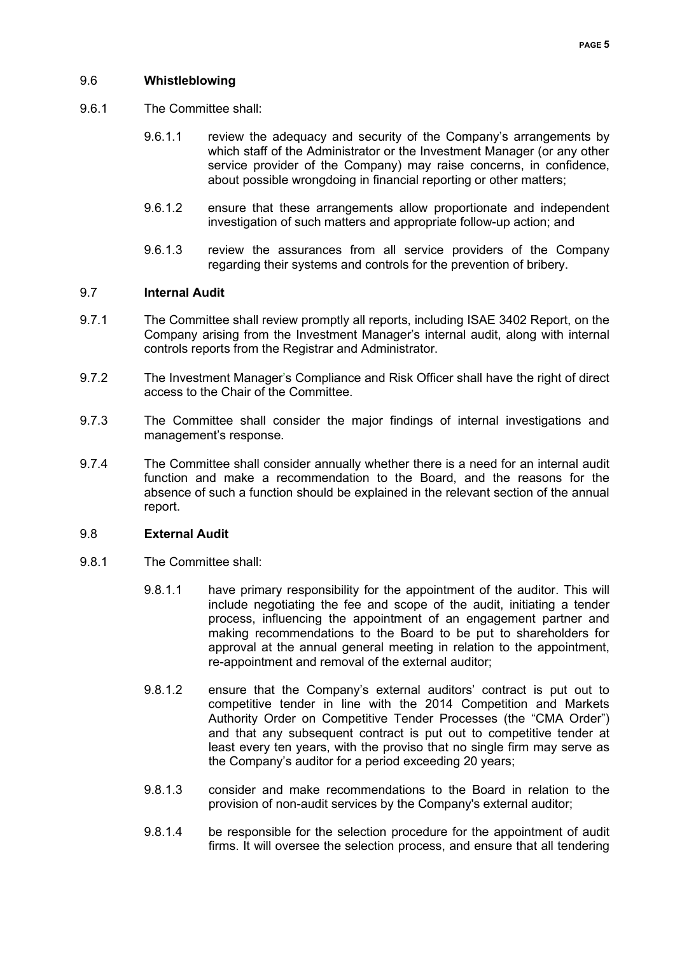# 9.6 **Whistleblowing**

- 9.6.1 The Committee shall:
	- 9.6.1.1 review the adequacy and security of the Company's arrangements by which staff of the Administrator or the Investment Manager (or any other service provider of the Company) may raise concerns, in confidence, about possible wrongdoing in financial reporting or other matters;
	- 9.6.1.2 ensure that these arrangements allow proportionate and independent investigation of such matters and appropriate follow-up action; and
	- 9.6.1.3 review the assurances from all service providers of the Company regarding their systems and controls for the prevention of bribery.

# 9.7 **Internal Audit**

- 9.7.1 The Committee shall review promptly all reports, including ISAE 3402 Report, on the Company arising from the Investment Manager's internal audit, along with internal controls reports from the Registrar and Administrator.
- 9.7.2 The Investment Manager's Compliance and Risk Officer shall have the right of direct access to the Chair of the Committee.
- 9.7.3 The Committee shall consider the major findings of internal investigations and management's response.
- 9.7.4 The Committee shall consider annually whether there is a need for an internal audit function and make a recommendation to the Board, and the reasons for the absence of such a function should be explained in the relevant section of the annual report.

#### 9.8 **External Audit**

- 9.8.1 The Committee shall:
	- 9.8.1.1 have primary responsibility for the appointment of the auditor. This will include negotiating the fee and scope of the audit, initiating a tender process, influencing the appointment of an engagement partner and making recommendations to the Board to be put to shareholders for approval at the annual general meeting in relation to the appointment, re-appointment and removal of the external auditor;
	- 9.8.1.2 ensure that the Company's external auditors' contract is put out to competitive tender in line with the 2014 Competition and Markets Authority Order on Competitive Tender Processes (the "CMA Order") and that any subsequent contract is put out to competitive tender at least every ten years, with the proviso that no single firm may serve as the Company's auditor for a period exceeding 20 years;
	- 9.8.1.3 consider and make recommendations to the Board in relation to the provision of non-audit services by the Company's external auditor;
	- 9.8.1.4 be responsible for the selection procedure for the appointment of audit firms. It will oversee the selection process, and ensure that all tendering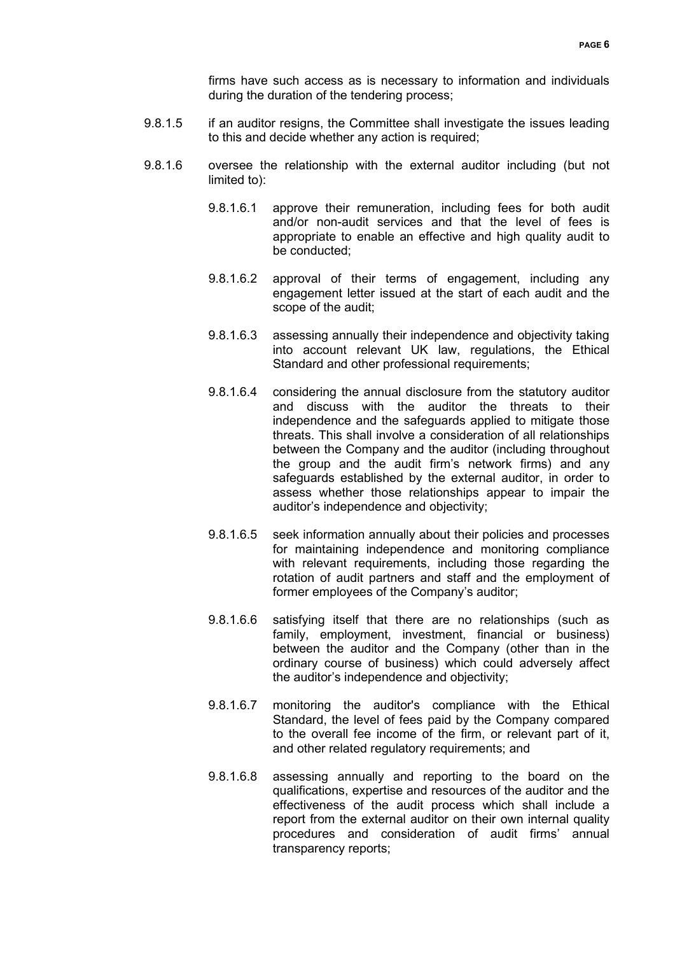firms have such access as is necessary to information and individuals during the duration of the tendering process;

- 9.8.1.5 if an auditor resigns, the Committee shall investigate the issues leading to this and decide whether any action is required;
- 9.8.1.6 oversee the relationship with the external auditor including (but not limited to):
	- 9.8.1.6.1 approve their remuneration, including fees for both audit and/or non-audit services and that the level of fees is appropriate to enable an effective and high quality audit to be conducted;
	- 9.8.1.6.2 approval of their terms of engagement, including any engagement letter issued at the start of each audit and the scope of the audit;
	- 9.8.1.6.3 assessing annually their independence and objectivity taking into account relevant UK law, regulations, the Ethical Standard and other professional requirements;
	- 9.8.1.6.4 considering the annual disclosure from the statutory auditor and discuss with the auditor the threats to their independence and the safeguards applied to mitigate those threats. This shall involve a consideration of all relationships between the Company and the auditor (including throughout the group and the audit firm's network firms) and any safeguards established by the external auditor, in order to assess whether those relationships appear to impair the auditor's independence and objectivity;
	- 9.8.1.6.5 seek information annually about their policies and processes for maintaining independence and monitoring compliance with relevant requirements, including those regarding the rotation of audit partners and staff and the employment of former employees of the Company's auditor;
	- 9.8.1.6.6 satisfying itself that there are no relationships (such as family, employment, investment, financial or business) between the auditor and the Company (other than in the ordinary course of business) which could adversely affect the auditor's independence and objectivity;
	- 9.8.1.6.7 monitoring the auditor's compliance with the Ethical Standard, the level of fees paid by the Company compared to the overall fee income of the firm, or relevant part of it, and other related regulatory requirements; and
	- 9.8.1.6.8 assessing annually and reporting to the board on the qualifications, expertise and resources of the auditor and the effectiveness of the audit process which shall include a report from the external auditor on their own internal quality procedures and consideration of audit firms' annual transparency reports;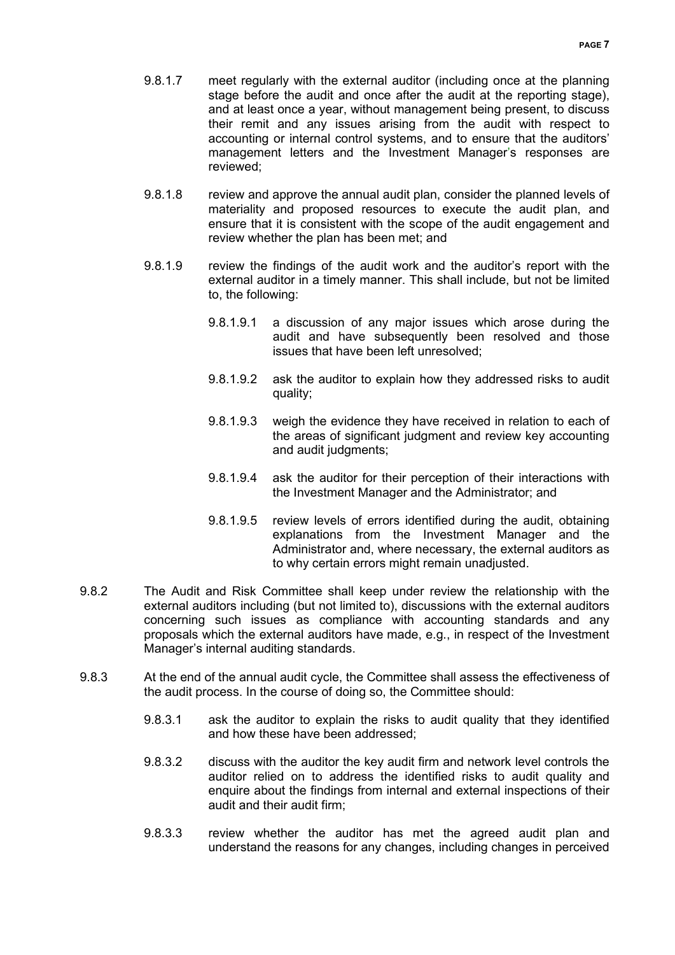- 9.8.1.7 meet regularly with the external auditor (including once at the planning stage before the audit and once after the audit at the reporting stage), and at least once a year, without management being present, to discuss their remit and any issues arising from the audit with respect to accounting or internal control systems, and to ensure that the auditors' management letters and the Investment Manager's responses are reviewed;
- 9.8.1.8 review and approve the annual audit plan, consider the planned levels of materiality and proposed resources to execute the audit plan, and ensure that it is consistent with the scope of the audit engagement and review whether the plan has been met; and
- 9.8.1.9 review the findings of the audit work and the auditor's report with the external auditor in a timely manner. This shall include, but not be limited to, the following:
	- 9.8.1.9.1 a discussion of any major issues which arose during the audit and have subsequently been resolved and those issues that have been left unresolved;
	- 9.8.1.9.2 ask the auditor to explain how they addressed risks to audit quality;
	- 9.8.1.9.3 weigh the evidence they have received in relation to each of the areas of significant judgment and review key accounting and audit judgments;
	- 9.8.1.9.4 ask the auditor for their perception of their interactions with the Investment Manager and the Administrator; and
	- 9.8.1.9.5 review levels of errors identified during the audit, obtaining explanations from the Investment Manager and the Administrator and, where necessary, the external auditors as to why certain errors might remain unadjusted.
- 9.8.2 The Audit and Risk Committee shall keep under review the relationship with the external auditors including (but not limited to), discussions with the external auditors concerning such issues as compliance with accounting standards and any proposals which the external auditors have made, e.g., in respect of the Investment Manager's internal auditing standards.
- 9.8.3 At the end of the annual audit cycle, the Committee shall assess the effectiveness of the audit process. In the course of doing so, the Committee should:
	- 9.8.3.1 ask the auditor to explain the risks to audit quality that they identified and how these have been addressed;
	- 9.8.3.2 discuss with the auditor the key audit firm and network level controls the auditor relied on to address the identified risks to audit quality and enquire about the findings from internal and external inspections of their audit and their audit firm;
	- 9.8.3.3 review whether the auditor has met the agreed audit plan and understand the reasons for any changes, including changes in perceived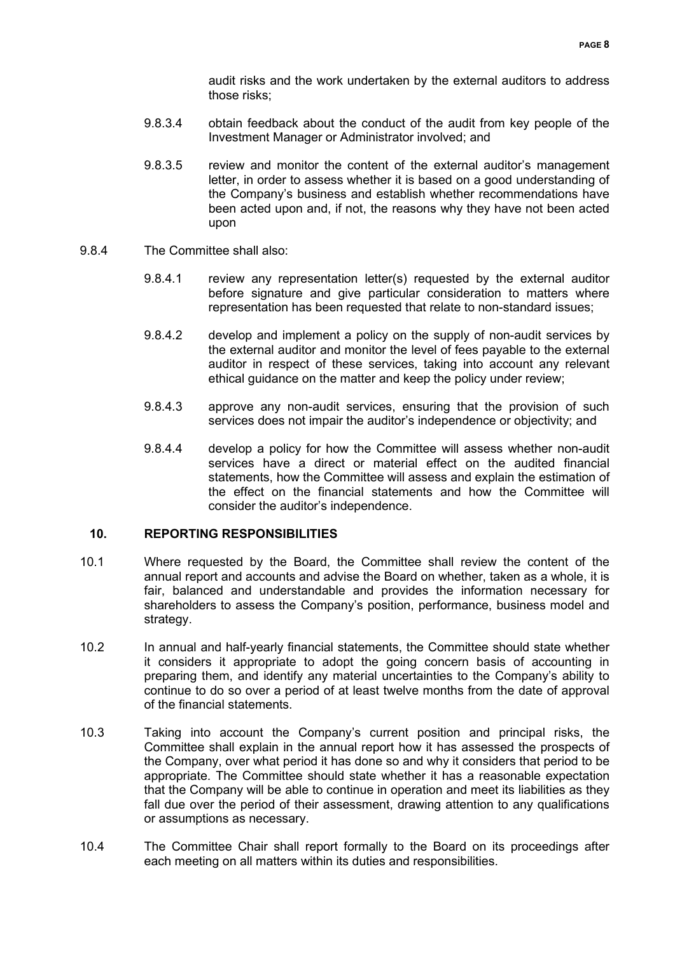audit risks and the work undertaken by the external auditors to address those risks;

- 9.8.3.4 obtain feedback about the conduct of the audit from key people of the Investment Manager or Administrator involved; and
- 9.8.3.5 review and monitor the content of the external auditor's management letter, in order to assess whether it is based on a good understanding of the Company's business and establish whether recommendations have been acted upon and, if not, the reasons why they have not been acted upon
- 9.8.4 The Committee shall also:
	- 9.8.4.1 review any representation letter(s) requested by the external auditor before signature and give particular consideration to matters where representation has been requested that relate to non-standard issues;
	- 9.8.4.2 develop and implement a policy on the supply of non-audit services by the external auditor and monitor the level of fees payable to the external auditor in respect of these services, taking into account any relevant ethical guidance on the matter and keep the policy under review;
	- 9.8.4.3 approve any non-audit services, ensuring that the provision of such services does not impair the auditor's independence or objectivity; and
	- 9.8.4.4 develop a policy for how the Committee will assess whether non-audit services have a direct or material effect on the audited financial statements, how the Committee will assess and explain the estimation of the effect on the financial statements and how the Committee will consider the auditor's independence.

# **10. REPORTING RESPONSIBILITIES**

- 10.1 Where requested by the Board, the Committee shall review the content of the annual report and accounts and advise the Board on whether, taken as a whole, it is fair, balanced and understandable and provides the information necessary for shareholders to assess the Company's position, performance, business model and strategy.
- 10.2 In annual and half-yearly financial statements, the Committee should state whether it considers it appropriate to adopt the going concern basis of accounting in preparing them, and identify any material uncertainties to the Company's ability to continue to do so over a period of at least twelve months from the date of approval of the financial statements.
- 10.3 Taking into account the Company's current position and principal risks, the Committee shall explain in the annual report how it has assessed the prospects of the Company, over what period it has done so and why it considers that period to be appropriate. The Committee should state whether it has a reasonable expectation that the Company will be able to continue in operation and meet its liabilities as they fall due over the period of their assessment, drawing attention to any qualifications or assumptions as necessary.
- 10.4 The Committee Chair shall report formally to the Board on its proceedings after each meeting on all matters within its duties and responsibilities.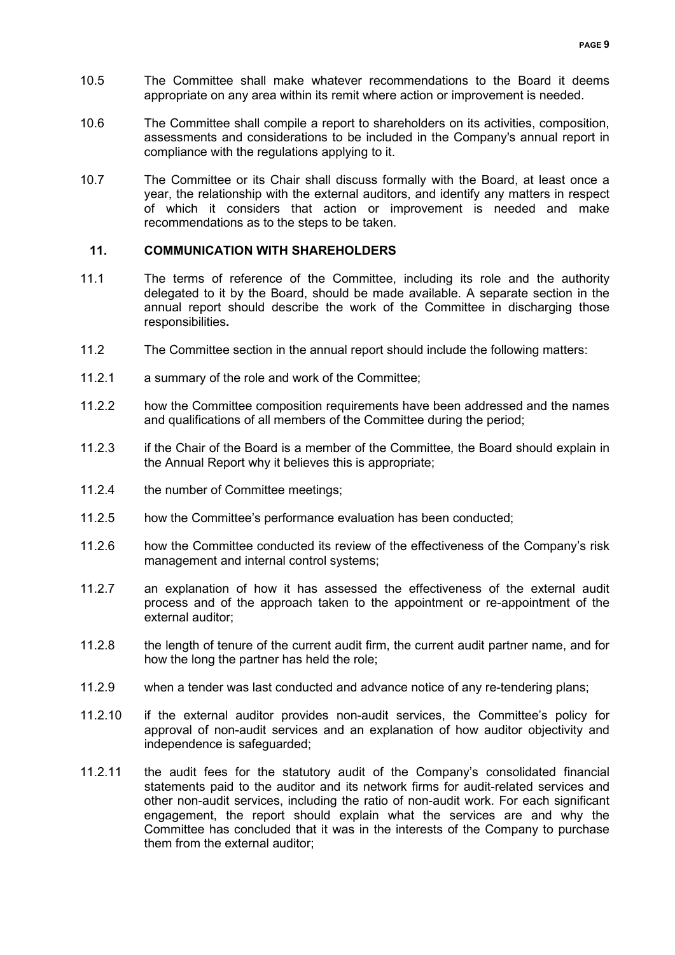- 10.5 The Committee shall make whatever recommendations to the Board it deems appropriate on any area within its remit where action or improvement is needed.
- 10.6 The Committee shall compile a report to shareholders on its activities, composition, assessments and considerations to be included in the Company's annual report in compliance with the regulations applying to it.
- 10.7 The Committee or its Chair shall discuss formally with the Board, at least once a year, the relationship with the external auditors, and identify any matters in respect of which it considers that action or improvement is needed and make recommendations as to the steps to be taken.

#### **11. COMMUNICATION WITH SHAREHOLDERS**

- 11.1 The terms of reference of the Committee, including its role and the authority delegated to it by the Board, should be made available. A separate section in the annual report should describe the work of the Committee in discharging those responsibilities**.**
- 11.2 The Committee section in the annual report should include the following matters:
- 11.2.1 a summary of the role and work of the Committee;
- 11.2.2 how the Committee composition requirements have been addressed and the names and qualifications of all members of the Committee during the period;
- 11.2.3 if the Chair of the Board is a member of the Committee, the Board should explain in the Annual Report why it believes this is appropriate;
- 11.2.4 the number of Committee meetings;
- 11.2.5 how the Committee's performance evaluation has been conducted;
- 11.2.6 how the Committee conducted its review of the effectiveness of the Company's risk management and internal control systems;
- 11.2.7 an explanation of how it has assessed the effectiveness of the external audit process and of the approach taken to the appointment or re-appointment of the external auditor;
- 11.2.8 the length of tenure of the current audit firm, the current audit partner name, and for how the long the partner has held the role;
- 11.2.9 when a tender was last conducted and advance notice of any re-tendering plans;
- 11.2.10 if the external auditor provides non-audit services, the Committee's policy for approval of non-audit services and an explanation of how auditor objectivity and independence is safeguarded;
- 11.2.11 the audit fees for the statutory audit of the Company's consolidated financial statements paid to the auditor and its network firms for audit-related services and other non-audit services, including the ratio of non-audit work. For each significant engagement, the report should explain what the services are and why the Committee has concluded that it was in the interests of the Company to purchase them from the external auditor;